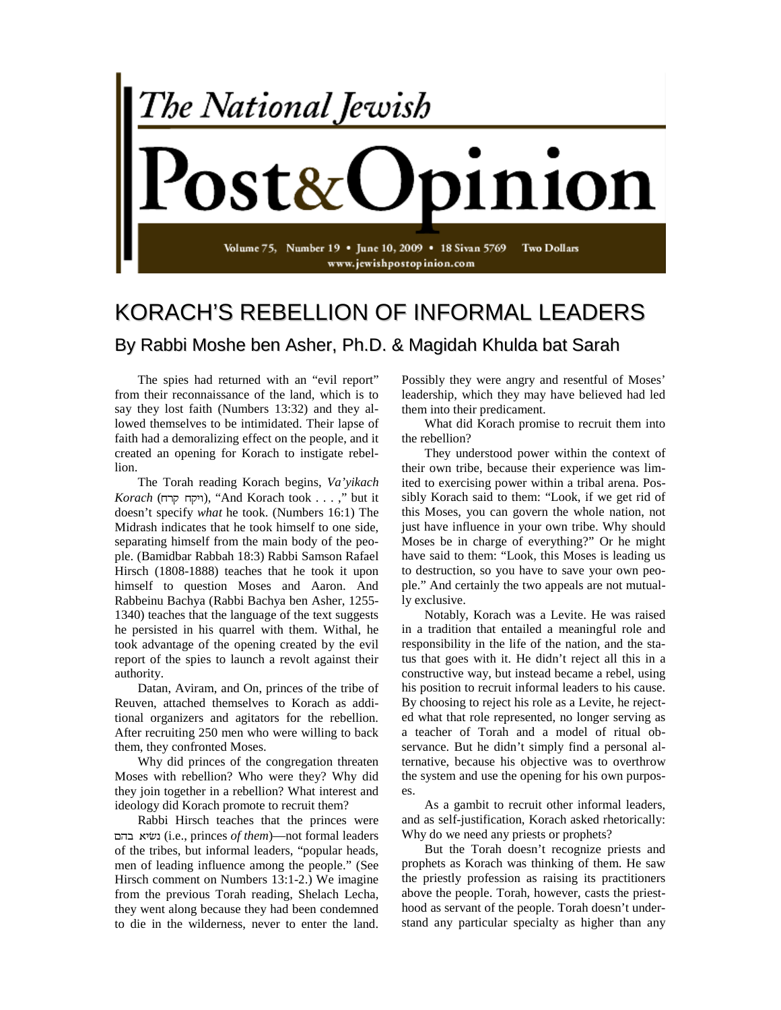

## KORACH'S REBELLION OF INFORMAL LEADERS By Rabbi Moshe ben Asher, Ph.D. & Magidah Khulda bat Sarah

The spies had returned with an "evil report" from their reconnaissance of the land, which is to say they lost faith (Numbers 13:32) and they allowed themselves to be intimidated. Their lapse of faith had a demoralizing effect on the people, and it created an opening for Korach to instigate rebellion.

The Torah reading Korach begins, *Va'yikach Korach* (ויקח קרח), "And Korach took . . . ," but it doesn't specify *what* he took. (Numbers 16:1) The Midrash indicates that he took himself to one side, separating himself from the main body of the people. (Bamidbar Rabbah 18:3) Rabbi Samson Rafael Hirsch (1808-1888) teaches that he took it upon himself to question Moses and Aaron. And Rabbeinu Bachya (Rabbi Bachya ben Asher, 1255- 1340) teaches that the language of the text suggests he persisted in his quarrel with them. Withal, he took advantage of the opening created by the evil report of the spies to launch a revolt against their authority.

Datan, Aviram, and On, princes of the tribe of Reuven, attached themselves to Korach as additional organizers and agitators for the rebellion. After recruiting 250 men who were willing to back them, they confronted Moses.

Why did princes of the congregation threaten Moses with rebellion? Who were they? Why did they join together in a rebellion? What interest and ideology did Korach promote to recruit them?

Rabbi Hirsch teaches that the princes were (i.e., princes *of them*)—not formal leaders of the tribes, but informal leaders, "popular heads, men of leading influence among the people." (See Hirsch comment on Numbers 13:1-2.) We imagine from the previous Torah reading, Shelach Lecha, they went along because they had been condemned to die in the wilderness, never to enter the land.

Possibly they were angry and resentful of Moses' leadership, which they may have believed had led them into their predicament.

What did Korach promise to recruit them into the rebellion?

They understood power within the context of their own tribe, because their experience was limited to exercising power within a tribal arena. Possibly Korach said to them: "Look, if we get rid of this Moses, you can govern the whole nation, not just have influence in your own tribe. Why should Moses be in charge of everything?" Or he might have said to them: "Look, this Moses is leading us to destruction, so you have to save your own people." And certainly the two appeals are not mutually exclusive.

Notably, Korach was a Levite. He was raised in a tradition that entailed a meaningful role and responsibility in the life of the nation, and the status that goes with it. He didn't reject all this in a constructive way, but instead became a rebel, using his position to recruit informal leaders to his cause. By choosing to reject his role as a Levite, he rejected what that role represented, no longer serving as a teacher of Torah and a model of ritual observance. But he didn't simply find a personal alternative, because his objective was to overthrow the system and use the opening for his own purposes.

As a gambit to recruit other informal leaders, and as self-justification, Korach asked rhetorically: Why do we need any priests or prophets?

But the Torah doesn't recognize priests and prophets as Korach was thinking of them. He saw the priestly profession as raising its practitioners above the people. Torah, however, casts the priesthood as servant of the people. Torah doesn't understand any particular specialty as higher than any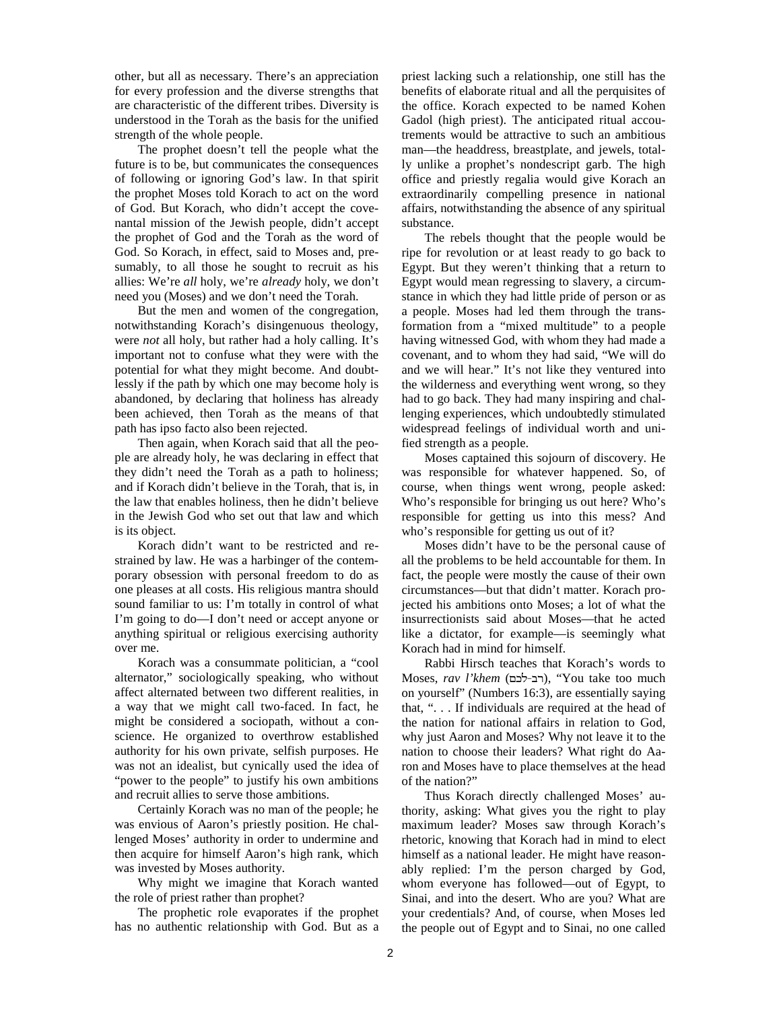other, but all as necessary. There's an appreciation for every profession and the diverse strengths that are characteristic of the different tribes. Diversity is understood in the Torah as the basis for the unified strength of the whole people.

The prophet doesn't tell the people what the future is to be, but communicates the consequences of following or ignoring God's law. In that spirit the prophet Moses told Korach to act on the word of God. But Korach, who didn't accept the covenantal mission of the Jewish people, didn't accept the prophet of God and the Torah as the word of God. So Korach, in effect, said to Moses and, presumably, to all those he sought to recruit as his allies: We're *all* holy, we're *already* holy, we don't need you (Moses) and we don't need the Torah.

But the men and women of the congregation, notwithstanding Korach's disingenuous theology, were *not* all holy, but rather had a holy calling. It's important not to confuse what they were with the potential for what they might become. And doubtlessly if the path by which one may become holy is abandoned, by declaring that holiness has already been achieved, then Torah as the means of that path has ipso facto also been rejected.

Then again, when Korach said that all the people are already holy, he was declaring in effect that they didn't need the Torah as a path to holiness; and if Korach didn't believe in the Torah, that is, in the law that enables holiness, then he didn't believe in the Jewish God who set out that law and which is its object.

Korach didn't want to be restricted and restrained by law. He was a harbinger of the contemporary obsession with personal freedom to do as one pleases at all costs. His religious mantra should sound familiar to us: I'm totally in control of what I'm going to do—I don't need or accept anyone or anything spiritual or religious exercising authority over me.

Korach was a consummate politician, a "cool alternator," sociologically speaking, who without affect alternated between two different realities, in a way that we might call two-faced. In fact, he might be considered a sociopath, without a conscience. He organized to overthrow established authority for his own private, selfish purposes. He was not an idealist, but cynically used the idea of "power to the people" to justify his own ambitions and recruit allies to serve those ambitions.

Certainly Korach was no man of the people; he was envious of Aaron's priestly position. He challenged Moses' authority in order to undermine and then acquire for himself Aaron's high rank, which was invested by Moses authority.

Why might we imagine that Korach wanted the role of priest rather than prophet?

The prophetic role evaporates if the prophet has no authentic relationship with God. But as a priest lacking such a relationship, one still has the benefits of elaborate ritual and all the perquisites of the office. Korach expected to be named Kohen Gadol (high priest). The anticipated ritual accoutrements would be attractive to such an ambitious man—the headdress, breastplate, and jewels, totally unlike a prophet's nondescript garb. The high office and priestly regalia would give Korach an extraordinarily compelling presence in national affairs, notwithstanding the absence of any spiritual substance.

The rebels thought that the people would be ripe for revolution or at least ready to go back to Egypt. But they weren't thinking that a return to Egypt would mean regressing to slavery, a circumstance in which they had little pride of person or as a people. Moses had led them through the transformation from a "mixed multitude" to a people having witnessed God, with whom they had made a covenant, and to whom they had said, "We will do and we will hear." It's not like they ventured into the wilderness and everything went wrong, so they had to go back. They had many inspiring and challenging experiences, which undoubtedly stimulated widespread feelings of individual worth and unified strength as a people.

Moses captained this sojourn of discovery. He was responsible for whatever happened. So, of course, when things went wrong, people asked: Who's responsible for bringing us out here? Who's responsible for getting us into this mess? And who's responsible for getting us out of it?

Moses didn't have to be the personal cause of all the problems to be held accountable for them. In fact, the people were mostly the cause of their own circumstances—but that didn't matter. Korach projected his ambitions onto Moses; a lot of what the insurrectionists said about Moses—that he acted like a dictator, for example—is seemingly what Korach had in mind for himself.

Rabbi Hirsch teaches that Korach's words to Moses, rav l'khem (רב-לכם), "You take too much on yourself" (Numbers 16:3), are essentially saying that, ". . . If individuals are required at the head of the nation for national affairs in relation to God, why just Aaron and Moses? Why not leave it to the nation to choose their leaders? What right do Aaron and Moses have to place themselves at the head of the nation?"

Thus Korach directly challenged Moses' authority, asking: What gives you the right to play maximum leader? Moses saw through Korach's rhetoric, knowing that Korach had in mind to elect himself as a national leader. He might have reasonably replied: I'm the person charged by God, whom everyone has followed—out of Egypt, to Sinai, and into the desert. Who are you? What are your credentials? And, of course, when Moses led the people out of Egypt and to Sinai, no one called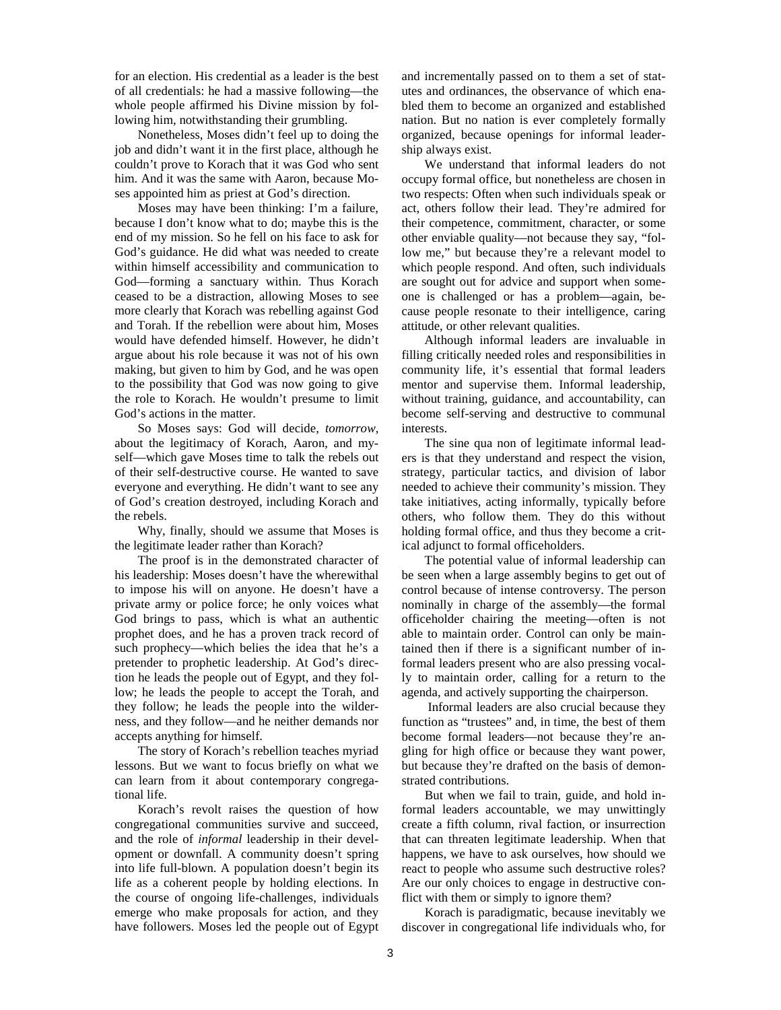for an election. His credential as a leader is the best of all credentials: he had a massive following—the whole people affirmed his Divine mission by following him, notwithstanding their grumbling.

Nonetheless, Moses didn't feel up to doing the job and didn't want it in the first place, although he couldn't prove to Korach that it was God who sent him. And it was the same with Aaron, because Moses appointed him as priest at God's direction.

Moses may have been thinking: I'm a failure, because I don't know what to do; maybe this is the end of my mission. So he fell on his face to ask for God's guidance. He did what was needed to create within himself accessibility and communication to God—forming a sanctuary within. Thus Korach ceased to be a distraction, allowing Moses to see more clearly that Korach was rebelling against God and Torah. If the rebellion were about him, Moses would have defended himself. However, he didn't argue about his role because it was not of his own making, but given to him by God, and he was open to the possibility that God was now going to give the role to Korach. He wouldn't presume to limit God's actions in the matter.

So Moses says: God will decide, *tomorrow*, about the legitimacy of Korach, Aaron, and myself—which gave Moses time to talk the rebels out of their self-destructive course. He wanted to save everyone and everything. He didn't want to see any of God's creation destroyed, including Korach and the rebels.

Why, finally, should we assume that Moses is the legitimate leader rather than Korach?

The proof is in the demonstrated character of his leadership: Moses doesn't have the wherewithal to impose his will on anyone. He doesn't have a private army or police force; he only voices what God brings to pass, which is what an authentic prophet does, and he has a proven track record of such prophecy—which belies the idea that he's a pretender to prophetic leadership. At God's direction he leads the people out of Egypt, and they follow; he leads the people to accept the Torah, and they follow; he leads the people into the wilderness, and they follow—and he neither demands nor accepts anything for himself.

The story of Korach's rebellion teaches myriad lessons. But we want to focus briefly on what we can learn from it about contemporary congregational life.

Korach's revolt raises the question of how congregational communities survive and succeed, and the role of *informal* leadership in their development or downfall. A community doesn't spring into life full-blown. A population doesn't begin its life as a coherent people by holding elections. In the course of ongoing life-challenges, individuals emerge who make proposals for action, and they have followers. Moses led the people out of Egypt and incrementally passed on to them a set of statutes and ordinances, the observance of which enabled them to become an organized and established nation. But no nation is ever completely formally organized, because openings for informal leadership always exist.

We understand that informal leaders do not occupy formal office, but nonetheless are chosen in two respects: Often when such individuals speak or act, others follow their lead. They're admired for their competence, commitment, character, or some other enviable quality—not because they say, "follow me," but because they're a relevant model to which people respond. And often, such individuals are sought out for advice and support when someone is challenged or has a problem—again, because people resonate to their intelligence, caring attitude, or other relevant qualities.

Although informal leaders are invaluable in filling critically needed roles and responsibilities in community life, it's essential that formal leaders mentor and supervise them. Informal leadership, without training, guidance, and accountability, can become self-serving and destructive to communal interests.

The sine qua non of legitimate informal leaders is that they understand and respect the vision, strategy, particular tactics, and division of labor needed to achieve their community's mission. They take initiatives, acting informally, typically before others, who follow them. They do this without holding formal office, and thus they become a critical adjunct to formal officeholders.

The potential value of informal leadership can be seen when a large assembly begins to get out of control because of intense controversy. The person nominally in charge of the assembly—the formal officeholder chairing the meeting—often is not able to maintain order. Control can only be maintained then if there is a significant number of informal leaders present who are also pressing vocally to maintain order, calling for a return to the agenda, and actively supporting the chairperson.

Informal leaders are also crucial because they function as "trustees" and, in time, the best of them become formal leaders—not because they're angling for high office or because they want power, but because they're drafted on the basis of demonstrated contributions.

But when we fail to train, guide, and hold informal leaders accountable, we may unwittingly create a fifth column, rival faction, or insurrection that can threaten legitimate leadership. When that happens, we have to ask ourselves, how should we react to people who assume such destructive roles? Are our only choices to engage in destructive conflict with them or simply to ignore them?

Korach is paradigmatic, because inevitably we discover in congregational life individuals who, for